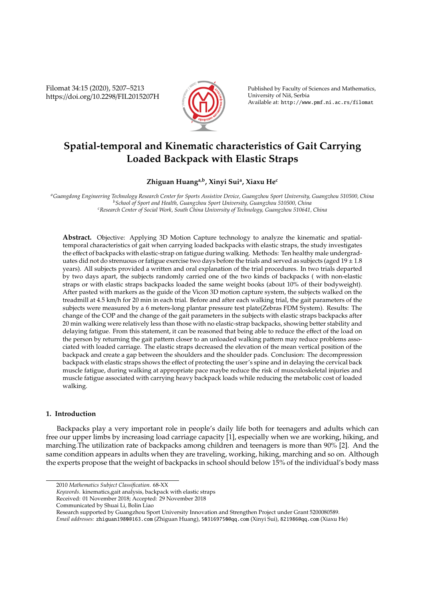Filomat 34:15 (2020), 5207–5213 https://doi.org/10.2298/FIL2015207H



Published by Faculty of Sciences and Mathematics, University of Niš, Serbia Available at: http://www.pmf.ni.ac.rs/filomat

# **Spatial-temporal and Kinematic characteristics of Gait Carrying Loaded Backpack with Elastic Straps**

## **Zhiguan Huanga,b, Xinyi Sui<sup>a</sup> , Xiaxu He<sup>c</sup>**

*<sup>a</sup>Guangdong Engineering Technology Research Center for Sports Assistive Device, Guangzhou Sport University, Guangzhou 510500, China <sup>b</sup>School of Sport and Health, Guangzhou Sport University, Guangzhou 510500, China <sup>c</sup>Research Center of Social Work, South China University of Technology, Guangzhou 510641, China*

**Abstract.** Objective: Applying 3D Motion Capture technology to analyze the kinematic and spatialtemporal characteristics of gait when carrying loaded backpacks with elastic straps, the study investigates the effect of backpacks with elastic-strap on fatigue during walking. Methods: Ten healthy male undergraduates did not do strenuous or fatigue exercise two days before the trials and served as subjects (aged  $19 \pm 1.8$ ) years). All subjects provided a written and oral explanation of the trial procedures. In two trials departed by two days apart, the subjects randomly carried one of the two kinds of backpacks ( with non-elastic straps or with elastic straps backpacks loaded the same weight books (about 10% of their bodyweight). After pasted with markers as the guide of the Vicon 3D motion capture system, the subjects walked on the treadmill at 4.5 km/h for 20 min in each trial. Before and after each walking trial, the gait parameters of the subjects were measured by a 6 meters-long plantar pressure test plate(Zebras FDM System). Results: The change of the COP and the change of the gait parameters in the subjects with elastic straps backpacks after 20 min walking were relatively less than those with no elastic-strap backpacks, showing better stability and delaying fatigue. From this statement, it can be reasoned that being able to reduce the effect of the load on the person by returning the gait pattern closer to an unloaded walking pattern may reduce problems associated with loaded carriage. The elastic straps decreased the elevation of the mean vertical position of the backpack and create a gap between the shoulders and the shoulder pads. Conclusion: The decompression backpack with elastic straps shows the effect of protecting the user's spine and in delaying the cervical back muscle fatigue, during walking at appropriate pace maybe reduce the risk of musculoskeletal injuries and muscle fatigue associated with carrying heavy backpack loads while reducing the metabolic cost of loaded walking.

## **1. Introduction**

Backpacks play a very important role in people's daily life both for teenagers and adults which can free our upper limbs by increasing load carriage capacity [1], especially when we are working, hiking, and marching.The utilization rate of backpacks among children and teenagers is more than 90% [2]. And the same condition appears in adults when they are traveling, working, hiking, marching and so on. Although the experts propose that the weight of backpacks in school should below 15% of the individual's body mass

Communicated by Shuai Li, Bolin Liao

Research supported by Guangzhou Sport University Innovation and Strengthen Project under Grant 5200080589.

<sup>2010</sup> *Mathematics Subject Classification*. 68-XX

*Keywords*. kinematics,gait analysis, backpack with elastic straps

Received: 01 November 2018; Accepted: 29 November 2018

*Email addresses:* zhiguan1980@163.com (Zhiguan Huang), 503169750@qq.com (Xinyi Sui), 821986@qq.com (Xiaxu He)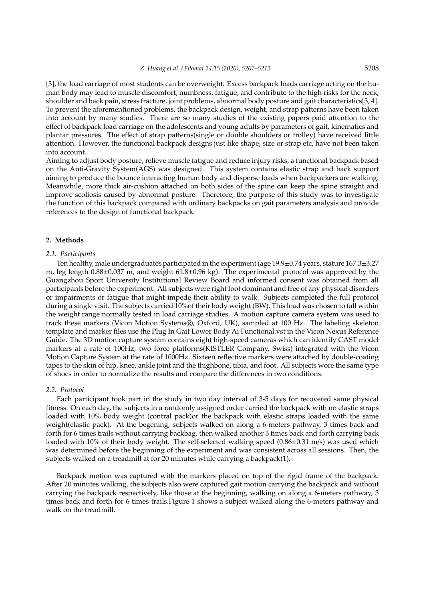[3], the load carriage of most students can be overweight. Excess backpack loads carriage acting on the human body may lead to muscle discomfort, numbness, fatigue, and contribute to the high risks for the neck, shoulder and back pain, stress fracture, joint problems, abnormal body posture and gait characteristics[3, 4]. To prevent the aforementioned problems, the backpack design, weight, and strap patterns have been taken into account by many studies. There are so many studies of the existing papers paid attention to the effect of backpack load carriage on the adolescents and young adults by parameters of gait, kinematics and plantar pressures. The effect of strap patterns(single or double shoulders or trolley) have received little attention. However, the functional backpack designs just like shape, size or strap.etc, have not been taken into account.

Aiming to adjust body posture, relieve muscle fatigue and reduce injury risks, a functional backpack based on the Anti-Gravity System(AGS) was designed. This system contains elastic strap and back support aiming to produce the bounce interacting human body and disperse loads when backpackers are walking. Meanwhile, more thick air-cushion attached on both sides of the spine can keep the spine straight and improve scoliosis caused by abnormal posture. Therefore, the purpose of this study was to investigate the function of this backpack compared with ordinary backpacks on gait parameters analysis and provide references to the design of functional backpack.

## **2. Methods**

#### *2.1. Participants*

Ten healthy, male undergraduates participated in the experiment (age 19.9±0.74 years, stature 167.3±3.27 m, leg length 0.88±0.037 m, and weight 61.8±0.96 kg). The experimental protocol was approved by the Guangzhou Sport University Institutional Review Board and informed consent was obtained from all participants before the experiment. All subjects were right foot dominant and free of any physical disorders or impairments or fatigue that might impede their ability to walk. Subjects completed the full protocol during a single visit. The subjects carried 10%of their body weight (BW). This load was chosen to fall within the weight range normally tested in load carriage studies. A motion capture camera system was used to track these markers (Vicon Motion Systems®, Oxford, UK), sampled at 100 Hz. The labeling skeleton template and marker files use the Plug In Gait Lower Body Ai Functional.vst in the Vicon Nexus Reference Guide. The 3D motion capture system contains eight high-speed cameras which can identify CAST model markers at a rate of 100Hz, two force platforms(KISTLER Company, Swiss) integrated with the Vicon Motion Capture System at the rate of 1000Hz. Sixteen reflective markers were attached by double-coating tapes to the skin of hip, knee, ankle joint and the thighbone, tibia, and foot. All subjects wore the same type of shoes in order to normalize the results and compare the differences in two conditions.

#### *2.2. Protocol*

Each participant took part in the study in two day interval of 3-5 days for recovered same physical fitness. On each day, the subjects in a randomly assigned order carried the backpack with no elastic straps loaded with 10% body weight (contral pack)or the backpack with elastic straps loaded with the same weight(elastic pack). At the begening, subjects walked on along a 6-meters pathway, 3 times back and forth for 6 times trails without carrying backbag, then walked another 3 times back and forth carrying back loaded with 10% of their body weight. The self-selected walking speed (0.86 $\pm$ 0.31 m/s) was used which was determined before the beginning of the experiment and was consistent across all sessions. Then, the subjects walked on a treadmill at for 20 minutes while carrying a backpack(1).

Backpack motion was captured with the markers placed on top of the rigid frame of the backpack. After 20 minutes walking, the subjects also were captured gait motion carrying the backpack and without carrying the backpack respectively, like those at the beginning, walking on along a 6-meters pathway, 3 times back and forth for 6 times trails.Figure 1 shows a subject walked along the 6-meters pathway and walk on the treadmill.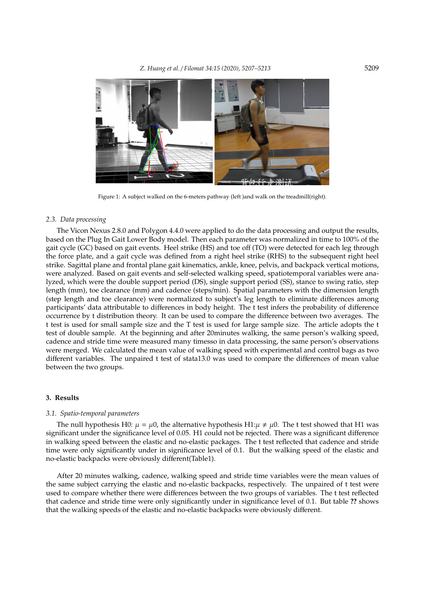

Figure 1: A subject walked on the 6-meters pathway (left )and walk on the treadmill(right).

#### *2.3. Data processing*

The Vicon Nexus 2.8.0 and Polygon 4.4.0 were applied to do the data processing and output the results, based on the Plug In Gait Lower Body model. Then each parameter was normalized in time to 100% of the gait cycle (GC) based on gait events. Heel strike (HS) and toe off (TO) were detected for each leg through the force plate, and a gait cycle was defined from a right heel strike (RHS) to the subsequent right heel strike. Sagittal plane and frontal plane gait kinematics, ankle, knee, pelvis, and backpack vertical motions, were analyzed. Based on gait events and self-selected walking speed, spatiotemporal variables were analyzed, which were the double support period (DS), single support period (SS), stance to swing ratio, step length (mm), toe clearance (mm) and cadence (steps/min). Spatial parameters with the dimension length (step length and toe clearance) were normalized to subject's leg length to eliminate differences among participants' data attributable to differences in body height. The t test infers the probability of difference occurrence by t distribution theory. It can be used to compare the difference between two averages. The t test is used for small sample size and the T test is used for large sample size. The article adopts the t test of double sample. At the beginning and after 20minutes walking, the same person's walking speed, cadence and stride time were measured many timesso in data processing, the same person's observations were merged. We calculated the mean value of walking speed with experimental and control bags as two different variables. The unpaired t test of stata13.0 was used to compare the differences of mean value between the two groups.

## **3. Results**

#### *3.1. Spatio-temporal parameters*

The null hypothesis H0:  $\mu = \mu$ 0, the alternative hypothesis H1: $\mu \neq \mu$ 0. The t test showed that H1 was significant under the significance level of 0.05. H1 could not be rejected. There was a significant difference in walking speed between the elastic and no-elastic packages. The t test reflected that cadence and stride time were only significantly under in significance level of 0.1. But the walking speed of the elastic and no-elastic backpacks were obviously different(Table1).

After 20 minutes walking, cadence, walking speed and stride time variables were the mean values of the same subject carrying the elastic and no-elastic backpacks, respectively. The unpaired of t test were used to compare whether there were differences between the two groups of variables. The t test reflected that cadence and stride time were only significantly under in significance level of 0.1. But table **??** shows that the walking speeds of the elastic and no-elastic backpacks were obviously different.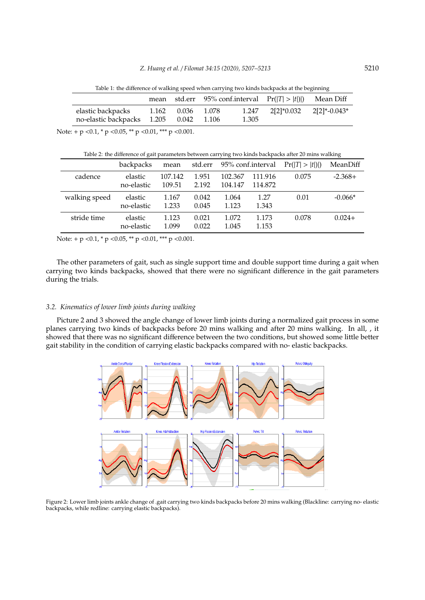Table 1: the difference of walking speed when carrying two kinds backpacks at the beginning

| $2[2]^*0.032$ $2[2]^*$ -0.043*<br>elastic backpacks<br>1.247<br>0.036 1.078<br>1.162 | mean | std.err 95% conf.interval $Pr( T  >  t ) $ | Mean Diff |
|--------------------------------------------------------------------------------------|------|--------------------------------------------|-----------|
| no-elastic backpacks 1.205 0.042 1.106<br>1.305                                      |      |                                            |           |

Note: + p < 0.1,  $*$  p < 0.05,  $*$  + p < 0.01,  $*$  + p < 0.001.

| Table 2: the difference of gait parameters between carrying two kinds backpacks after 20 mins walking |                       |                   |                |                    |                    |                 |           |  |  |  |
|-------------------------------------------------------------------------------------------------------|-----------------------|-------------------|----------------|--------------------|--------------------|-----------------|-----------|--|--|--|
|                                                                                                       | backpacks             | mean              | std.err        |                    | 95% conf.interval  | Pr( T  >  t ) ) | MeanDiff  |  |  |  |
| cadence                                                                                               | elastic<br>no-elastic | 107.142<br>109.51 | 1.951<br>2.192 | 102.367<br>104.147 | 111.916<br>114.872 | 0.075           | $-2.368+$ |  |  |  |
| walking speed                                                                                         | elastic<br>no-elastic | 1.167<br>1.233    | 0.042<br>0.045 | 1.064<br>1.123     | 1.27<br>1.343      | 0.01            | $-0.066*$ |  |  |  |
| stride time                                                                                           | elastic<br>no-elastic | 1.123<br>1.099    | 0.021<br>0.022 | 1.072<br>1.045     | 1.173<br>1.153     | 0.078           | $0.024+$  |  |  |  |

Note: + p < 0.1,  $*$  p < 0.05,  $*$  p < 0.01,  $**$  p < 0.001.

The other parameters of gait, such as single support time and double support time during a gait when carrying two kinds backpacks, showed that there were no significant difference in the gait parameters during the trials.

## *3.2. Kinematics of lower limb joints during walking*

Picture 2 and 3 showed the angle change of lower limb joints during a normalized gait process in some planes carrying two kinds of backpacks before 20 mins walking and after 20 mins walking. In all, , it showed that there was no significant difference between the two conditions, but showed some little better gait stability in the condition of carrying elastic backpacks compared with no- elastic backpacks.



Figure 2: Lower limb joints ankle change of .gait carrying two kinds backpacks before 20 mins walking (Blackline: carrying no- elastic backpacks, while redline: carrying elastic backpacks).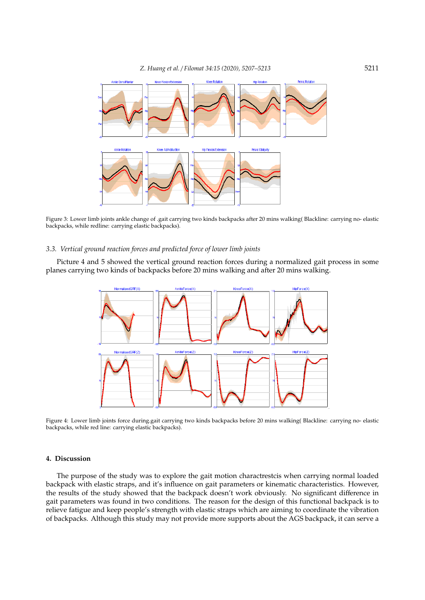

Figure 3: Lower limb joints ankle change of .gait carrying two kinds backpacks after 20 mins walking( Blackline: carrying no- elastic backpacks, while redline: carrying elastic backpacks).

## *3.3. Vertical ground reaction forces and predicted force of lower limb joints*

Picture 4 and 5 showed the vertical ground reaction forces during a normalized gait process in some planes carrying two kinds of backpacks before 20 mins walking and after 20 mins walking.



Figure 4: Lower limb joints force during.gait carrying two kinds backpacks before 20 mins walking( Blackline: carrying no- elastic backpacks, while red line: carrying elastic backpacks).

## **4. Discussion**

The purpose of the study was to explore the gait motion charactrestcis when carrying normal loaded backpack with elastic straps, and it's influence on gait parameters or kinematic characteristics. However, the results of the study showed that the backpack doesn't work obviously. No significant difference in gait parameters was found in two conditions. The reason for the design of this functional backpack is to relieve fatigue and keep people's strength with elastic straps which are aiming to coordinate the vibration of backpacks. Although this study may not provide more supports about the AGS backpack, it can serve a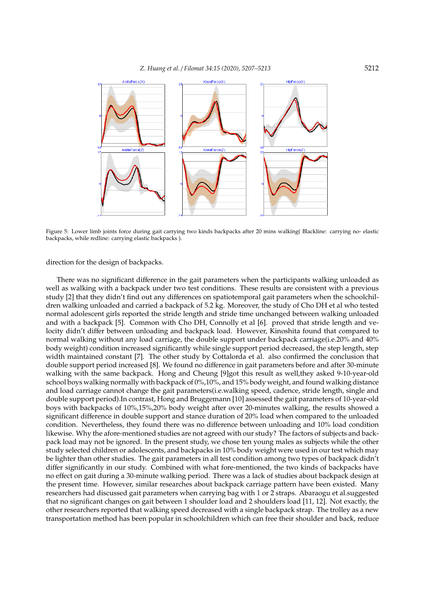

Figure 5: Lower limb joints force during gait carrying two kinds backpacks after 20 mins walking( Blackline: carrying no- elastic backpacks, while redline: carrying elastic backpacks ).

direction for the design of backpacks.

There was no significant difference in the gait parameters when the participants walking unloaded as well as walking with a backpack under two test conditions. These results are consistent with a previous study [2] that they didn't find out any differences on spatiotemporal gait parameters when the schoolchildren walking unloaded and carried a backpack of 5.2 kg. Moreover, the study of Cho DH et al who tested normal adolescent girls reported the stride length and stride time unchanged between walking unloaded and with a backpack [5]. Common with Cho DH, Connolly et al [6]. proved that stride length and velocity didn't differ between unloading and backpack load. However, Kinoshita found that compared to normal walking without any load carriage, the double support under backpack carriage(i.e.20% and 40% body weight) condition increased significantly while single support period decreased, the step length, step width maintained constant [7]. The other study by Cottalorda et al. also confirmed the conclusion that double support period increased [8]. We found no difference in gait parameters before and after 30-minute walking with the same backpack. Hong and Cheung [9]got this result as well, they asked 9-10-year-old school boys walking normally with backpack of 0%,10%, and 15% body weight, and found walking distance and load carriage cannot change the gait parameters(i.e.walking speed, cadence, stride length, single and double support period).In contrast, Hong and Bruggemann [10] assessed the gait parameters of 10-year-old boys with backpacks of 10%,15%,20% body weight after over 20-minutes walking, the results showed a significant difference in double support and stance duration of 20% load when compared to the unloaded condition. Nevertheless, they found there was no difference between unloading and 10% load condition likewise. Why the afore-mentioned studies are not agreed with our study? The factors of subjects and backpack load may not be ignored. In the present study, we chose ten young males as subjects while the other study selected children or adolescents, and backpacks in 10% body weight were used in our test which may be lighter than other studies. The gait parameters in all test condition among two types of backpack didn't differ significantly in our study. Combined with what fore-mentioned, the two kinds of backpacks have no effect on gait during a 30-minute walking period. There was a lack of studies about backpack design at the present time. However, similar researches about backpack carriage pattern have been existed. Many researchers had discussed gait parameters when carrying bag with 1 or 2 straps. Abaraogu et al.suggested that no significant changes on gait between 1 shoulder load and 2 shoulders load [11, 12]. Not exactly, the other researchers reported that walking speed decreased with a single backpack strap. The trolley as a new transportation method has been popular in schoolchildren which can free their shoulder and back, reduce